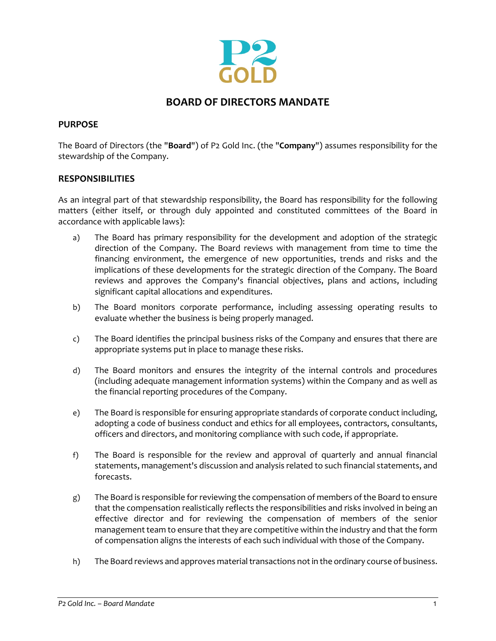

# **BOARD OF DIRECTORS MANDATE**

### **PURPOSE**

The Board of Directors (the "**Board**") of P2 Gold Inc. (the "**Company**") assumes responsibility for the stewardship of the Company.

### **RESPONSIBILITIES**

As an integral part of that stewardship responsibility, the Board has responsibility for the following matters (either itself, or through duly appointed and constituted committees of the Board in accordance with applicable laws):

- a) The Board has primary responsibility for the development and adoption of the strategic direction of the Company. The Board reviews with management from time to time the financing environment, the emergence of new opportunities, trends and risks and the implications of these developments for the strategic direction of the Company. The Board reviews and approves the Company's financial objectives, plans and actions, including significant capital allocations and expenditures.
- b) The Board monitors corporate performance, including assessing operating results to evaluate whether the business is being properly managed.
- c) The Board identifies the principal business risks of the Company and ensures that there are appropriate systems put in place to manage these risks.
- d) The Board monitors and ensures the integrity of the internal controls and procedures (including adequate management information systems) within the Company and as well as the financial reporting procedures of the Company.
- e) The Board is responsible for ensuring appropriate standards of corporate conduct including, adopting a code of business conduct and ethics for all employees, contractors, consultants, officers and directors, and monitoring compliance with such code, if appropriate.
- f) The Board is responsible for the review and approval of quarterly and annual financial statements, management's discussion and analysis related to such financial statements, and forecasts.
- g) The Board is responsible for reviewing the compensation of members of the Board to ensure that the compensation realistically reflects the responsibilities and risks involved in being an effective director and for reviewing the compensation of members of the senior management team to ensure that they are competitive within the industry and that the form of compensation aligns the interests of each such individual with those of the Company.
- h) The Board reviews and approves material transactions not in the ordinary course of business.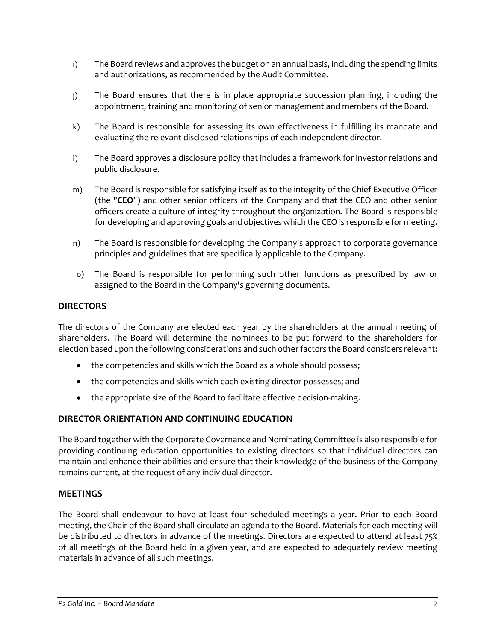- i) The Board reviews and approves the budget on an annual basis, including the spending limits and authorizations, as recommended by the Audit Committee.
- j) The Board ensures that there is in place appropriate succession planning, including the appointment, training and monitoring of senior management and members of the Board.
- k) The Board is responsible for assessing its own effectiveness in fulfilling its mandate and evaluating the relevant disclosed relationships of each independent director.
- l) The Board approves a disclosure policy that includes a framework for investor relations and public disclosure.
- m) The Board is responsible for satisfying itself as to the integrity of the Chief Executive Officer (the "**CEO**") and other senior officers of the Company and that the CEO and other senior officers create a culture of integrity throughout the organization. The Board is responsible for developing and approving goals and objectives which the CEO is responsible for meeting.
- n) The Board is responsible for developing the Company's approach to corporate governance principles and guidelines that are specifically applicable to the Company.
- o) The Board is responsible for performing such other functions as prescribed by law or assigned to the Board in the Company's governing documents.

## **DIRECTORS**

The directors of the Company are elected each year by the shareholders at the annual meeting of shareholders. The Board will determine the nominees to be put forward to the shareholders for election based upon the following considerations and such other factors the Board considers relevant:

- the competencies and skills which the Board as a whole should possess;
- the competencies and skills which each existing director possesses; and
- the appropriate size of the Board to facilitate effective decision-making.

# **DIRECTOR ORIENTATION AND CONTINUING EDUCATION**

The Board together with the Corporate Governance and Nominating Committee is also responsible for providing continuing education opportunities to existing directors so that individual directors can maintain and enhance their abilities and ensure that their knowledge of the business of the Company remains current, at the request of any individual director.

### **MEETINGS**

The Board shall endeavour to have at least four scheduled meetings a year. Prior to each Board meeting, the Chair of the Board shall circulate an agenda to the Board. Materials for each meeting will be distributed to directors in advance of the meetings. Directors are expected to attend at least 75% of all meetings of the Board held in a given year, and are expected to adequately review meeting materials in advance of all such meetings.